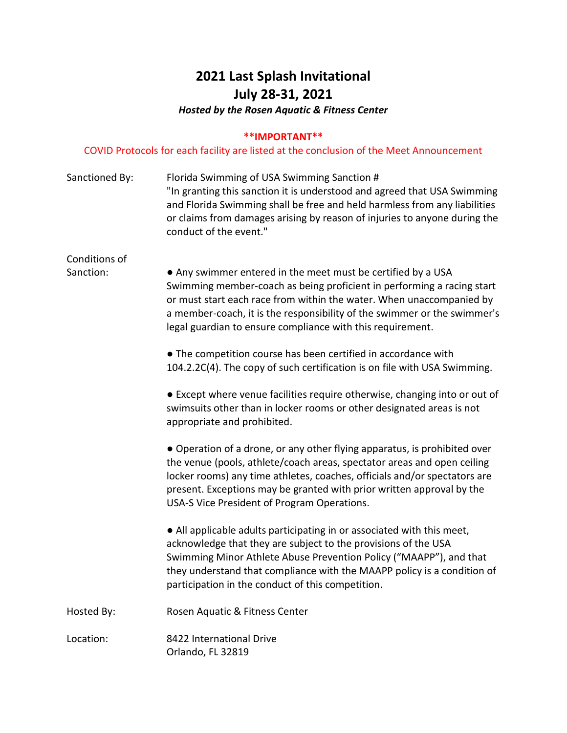# **2021 Last Splash Invitational July 28-31, 2021**

*Hosted by the Rosen Aquatic & Fitness Center*

### **\*\*IMPORTANT\*\***

### COVID Protocols for each facility are listed at the conclusion of the Meet Announcement

| Sanctioned By:             | Florida Swimming of USA Swimming Sanction #<br>"In granting this sanction it is understood and agreed that USA Swimming<br>and Florida Swimming shall be free and held harmless from any liabilities<br>or claims from damages arising by reason of injuries to anyone during the<br>conduct of the event."                                               |
|----------------------------|-----------------------------------------------------------------------------------------------------------------------------------------------------------------------------------------------------------------------------------------------------------------------------------------------------------------------------------------------------------|
| Conditions of<br>Sanction: | • Any swimmer entered in the meet must be certified by a USA<br>Swimming member-coach as being proficient in performing a racing start<br>or must start each race from within the water. When unaccompanied by<br>a member-coach, it is the responsibility of the swimmer or the swimmer's<br>legal guardian to ensure compliance with this requirement.  |
|                            | • The competition course has been certified in accordance with<br>104.2.2C(4). The copy of such certification is on file with USA Swimming.                                                                                                                                                                                                               |
|                            | • Except where venue facilities require otherwise, changing into or out of<br>swimsuits other than in locker rooms or other designated areas is not<br>appropriate and prohibited.                                                                                                                                                                        |
|                            | • Operation of a drone, or any other flying apparatus, is prohibited over<br>the venue (pools, athlete/coach areas, spectator areas and open ceiling<br>locker rooms) any time athletes, coaches, officials and/or spectators are<br>present. Exceptions may be granted with prior written approval by the<br>USA-S Vice President of Program Operations. |
|                            | • All applicable adults participating in or associated with this meet,<br>acknowledge that they are subject to the provisions of the USA<br>Swimming Minor Athlete Abuse Prevention Policy ("MAAPP"), and that<br>they understand that compliance with the MAAPP policy is a condition of<br>participation in the conduct of this competition.            |
| Hosted By:                 | Rosen Aquatic & Fitness Center                                                                                                                                                                                                                                                                                                                            |
| Location:                  | 8422 International Drive<br>Orlando, FL 32819                                                                                                                                                                                                                                                                                                             |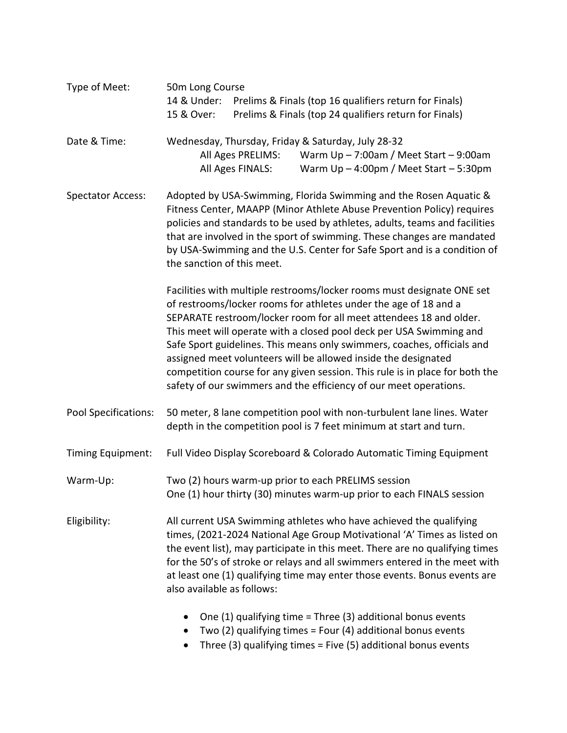| Type of Meet:            | 50m Long Course<br>14 & Under:<br>Prelims & Finals (top 16 qualifiers return for Finals)<br>Prelims & Finals (top 24 qualifiers return for Finals)<br>15 & Over:                                                                                                                                                                                                                                                                                                                                                                                                                          |
|--------------------------|-------------------------------------------------------------------------------------------------------------------------------------------------------------------------------------------------------------------------------------------------------------------------------------------------------------------------------------------------------------------------------------------------------------------------------------------------------------------------------------------------------------------------------------------------------------------------------------------|
| Date & Time:             | Wednesday, Thursday, Friday & Saturday, July 28-32<br>Warm $Up - 7:00am /$ Meet Start $-9:00am$<br>All Ages PRELIMS:<br>All Ages FINALS:<br>Warm $Up - 4:00pm /$ Meet Start $-5:30pm$                                                                                                                                                                                                                                                                                                                                                                                                     |
| <b>Spectator Access:</b> | Adopted by USA-Swimming, Florida Swimming and the Rosen Aquatic &<br>Fitness Center, MAAPP (Minor Athlete Abuse Prevention Policy) requires<br>policies and standards to be used by athletes, adults, teams and facilities<br>that are involved in the sport of swimming. These changes are mandated<br>by USA-Swimming and the U.S. Center for Safe Sport and is a condition of<br>the sanction of this meet.                                                                                                                                                                            |
|                          | Facilities with multiple restrooms/locker rooms must designate ONE set<br>of restrooms/locker rooms for athletes under the age of 18 and a<br>SEPARATE restroom/locker room for all meet attendees 18 and older.<br>This meet will operate with a closed pool deck per USA Swimming and<br>Safe Sport guidelines. This means only swimmers, coaches, officials and<br>assigned meet volunteers will be allowed inside the designated<br>competition course for any given session. This rule is in place for both the<br>safety of our swimmers and the efficiency of our meet operations. |
| Pool Specifications:     | 50 meter, 8 lane competition pool with non-turbulent lane lines. Water<br>depth in the competition pool is 7 feet minimum at start and turn.                                                                                                                                                                                                                                                                                                                                                                                                                                              |
| Timing Equipment:        | Full Video Display Scoreboard & Colorado Automatic Timing Equipment                                                                                                                                                                                                                                                                                                                                                                                                                                                                                                                       |
| Warm-Up:                 | Two (2) hours warm-up prior to each PRELIMS session<br>One (1) hour thirty (30) minutes warm-up prior to each FINALS session                                                                                                                                                                                                                                                                                                                                                                                                                                                              |
| Eligibility:             | All current USA Swimming athletes who have achieved the qualifying<br>times, (2021-2024 National Age Group Motivational 'A' Times as listed on<br>the event list), may participate in this meet. There are no qualifying times<br>for the 50's of stroke or relays and all swimmers entered in the meet with<br>at least one (1) qualifying time may enter those events. Bonus events are<br>also available as follows:                                                                                                                                                                   |
|                          | One (1) qualifying time = Three (3) additional bonus events                                                                                                                                                                                                                                                                                                                                                                                                                                                                                                                               |

• Two (2) qualifying times = Four (4) additional bonus events • Three (3) qualifying times = Five (5) additional bonus events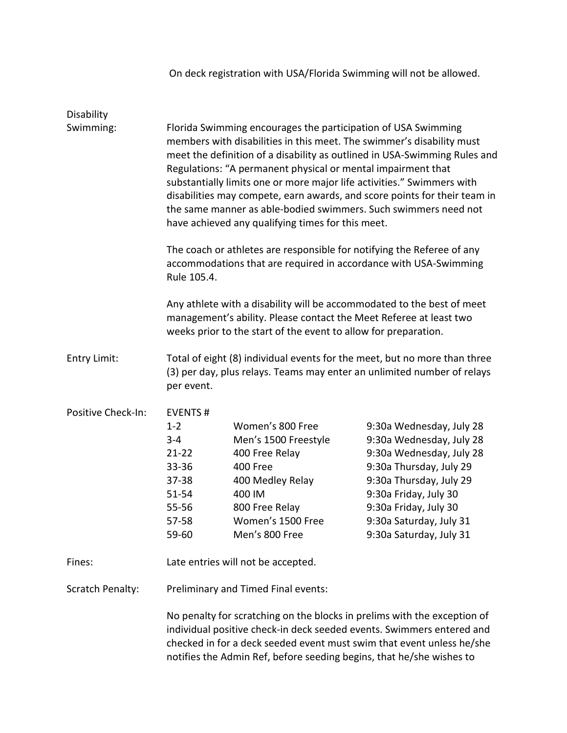| Disability              |                                                                                                                                                                                                                                                                                                                                                                                                                                                                                                                                                                    |                                                                                                                                                                      |                                                                                                                                                                                                                                                |  |  |
|-------------------------|--------------------------------------------------------------------------------------------------------------------------------------------------------------------------------------------------------------------------------------------------------------------------------------------------------------------------------------------------------------------------------------------------------------------------------------------------------------------------------------------------------------------------------------------------------------------|----------------------------------------------------------------------------------------------------------------------------------------------------------------------|------------------------------------------------------------------------------------------------------------------------------------------------------------------------------------------------------------------------------------------------|--|--|
| Swimming:               | Florida Swimming encourages the participation of USA Swimming<br>members with disabilities in this meet. The swimmer's disability must<br>meet the definition of a disability as outlined in USA-Swimming Rules and<br>Regulations: "A permanent physical or mental impairment that<br>substantially limits one or more major life activities." Swimmers with<br>disabilities may compete, earn awards, and score points for their team in<br>the same manner as able-bodied swimmers. Such swimmers need not<br>have achieved any qualifying times for this meet. |                                                                                                                                                                      |                                                                                                                                                                                                                                                |  |  |
|                         | The coach or athletes are responsible for notifying the Referee of any<br>accommodations that are required in accordance with USA-Swimming<br>Rule 105.4.                                                                                                                                                                                                                                                                                                                                                                                                          |                                                                                                                                                                      |                                                                                                                                                                                                                                                |  |  |
|                         | Any athlete with a disability will be accommodated to the best of meet<br>management's ability. Please contact the Meet Referee at least two<br>weeks prior to the start of the event to allow for preparation.                                                                                                                                                                                                                                                                                                                                                    |                                                                                                                                                                      |                                                                                                                                                                                                                                                |  |  |
| Entry Limit:            | Total of eight (8) individual events for the meet, but no more than three<br>(3) per day, plus relays. Teams may enter an unlimited number of relays<br>per event.                                                                                                                                                                                                                                                                                                                                                                                                 |                                                                                                                                                                      |                                                                                                                                                                                                                                                |  |  |
| Positive Check-In:      | <b>EVENTS#</b><br>$1 - 2$<br>$3 - 4$<br>$21 - 22$<br>$33 - 36$<br>$37 - 38$<br>$51 - 54$<br>55-56<br>57-58<br>59-60                                                                                                                                                                                                                                                                                                                                                                                                                                                | Women's 800 Free<br>Men's 1500 Freestyle<br>400 Free Relay<br><b>400 Free</b><br>400 Medley Relay<br>400 IM<br>800 Free Relay<br>Women's 1500 Free<br>Men's 800 Free | 9:30a Wednesday, July 28<br>9:30a Wednesday, July 28<br>9:30a Wednesday, July 28<br>9:30a Thursday, July 29<br>9:30a Thursday, July 29<br>9:30a Friday, July 30<br>9:30a Friday, July 30<br>9:30a Saturday, July 31<br>9:30a Saturday, July 31 |  |  |
| Fines:                  |                                                                                                                                                                                                                                                                                                                                                                                                                                                                                                                                                                    | Late entries will not be accepted.                                                                                                                                   |                                                                                                                                                                                                                                                |  |  |
| <b>Scratch Penalty:</b> | Preliminary and Timed Final events:                                                                                                                                                                                                                                                                                                                                                                                                                                                                                                                                |                                                                                                                                                                      |                                                                                                                                                                                                                                                |  |  |
|                         | No penalty for scratching on the blocks in prelims with the exception of<br>individual positive check-in deck seeded events. Swimmers entered and<br>checked in for a deck seeded event must swim that event unless he/she<br>notifies the Admin Ref, before seeding begins, that he/she wishes to                                                                                                                                                                                                                                                                 |                                                                                                                                                                      |                                                                                                                                                                                                                                                |  |  |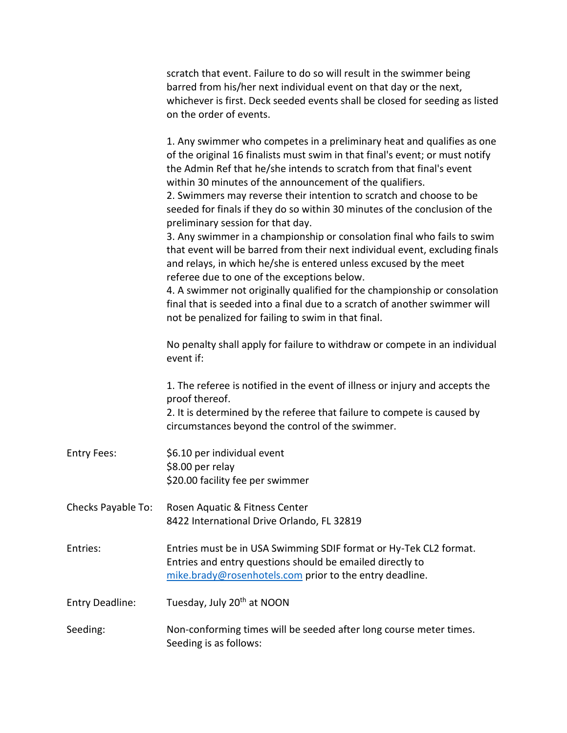|                        | scratch that event. Failure to do so will result in the swimmer being<br>barred from his/her next individual event on that day or the next,<br>whichever is first. Deck seeded events shall be closed for seeding as listed<br>on the order of events.                                                                                                                                                                                                                                                                                                                                                                                                                                                                                                                                                                                                                                                                                                                                |
|------------------------|---------------------------------------------------------------------------------------------------------------------------------------------------------------------------------------------------------------------------------------------------------------------------------------------------------------------------------------------------------------------------------------------------------------------------------------------------------------------------------------------------------------------------------------------------------------------------------------------------------------------------------------------------------------------------------------------------------------------------------------------------------------------------------------------------------------------------------------------------------------------------------------------------------------------------------------------------------------------------------------|
|                        | 1. Any swimmer who competes in a preliminary heat and qualifies as one<br>of the original 16 finalists must swim in that final's event; or must notify<br>the Admin Ref that he/she intends to scratch from that final's event<br>within 30 minutes of the announcement of the qualifiers.<br>2. Swimmers may reverse their intention to scratch and choose to be<br>seeded for finals if they do so within 30 minutes of the conclusion of the<br>preliminary session for that day.<br>3. Any swimmer in a championship or consolation final who fails to swim<br>that event will be barred from their next individual event, excluding finals<br>and relays, in which he/she is entered unless excused by the meet<br>referee due to one of the exceptions below.<br>4. A swimmer not originally qualified for the championship or consolation<br>final that is seeded into a final due to a scratch of another swimmer will<br>not be penalized for failing to swim in that final. |
|                        | No penalty shall apply for failure to withdraw or compete in an individual<br>event if:                                                                                                                                                                                                                                                                                                                                                                                                                                                                                                                                                                                                                                                                                                                                                                                                                                                                                               |
|                        | 1. The referee is notified in the event of illness or injury and accepts the<br>proof thereof.<br>2. It is determined by the referee that failure to compete is caused by<br>circumstances beyond the control of the swimmer.                                                                                                                                                                                                                                                                                                                                                                                                                                                                                                                                                                                                                                                                                                                                                         |
| <b>Entry Fees:</b>     | \$6.10 per individual event<br>\$8.00 per relay<br>\$20.00 facility fee per swimmer                                                                                                                                                                                                                                                                                                                                                                                                                                                                                                                                                                                                                                                                                                                                                                                                                                                                                                   |
| Checks Payable To:     | Rosen Aquatic & Fitness Center<br>8422 International Drive Orlando, FL 32819                                                                                                                                                                                                                                                                                                                                                                                                                                                                                                                                                                                                                                                                                                                                                                                                                                                                                                          |
| Entries:               | Entries must be in USA Swimming SDIF format or Hy-Tek CL2 format.<br>Entries and entry questions should be emailed directly to<br>mike.brady@rosenhotels.com prior to the entry deadline.                                                                                                                                                                                                                                                                                                                                                                                                                                                                                                                                                                                                                                                                                                                                                                                             |
| <b>Entry Deadline:</b> | Tuesday, July 20 <sup>th</sup> at NOON                                                                                                                                                                                                                                                                                                                                                                                                                                                                                                                                                                                                                                                                                                                                                                                                                                                                                                                                                |
| Seeding:               | Non-conforming times will be seeded after long course meter times.<br>Seeding is as follows:                                                                                                                                                                                                                                                                                                                                                                                                                                                                                                                                                                                                                                                                                                                                                                                                                                                                                          |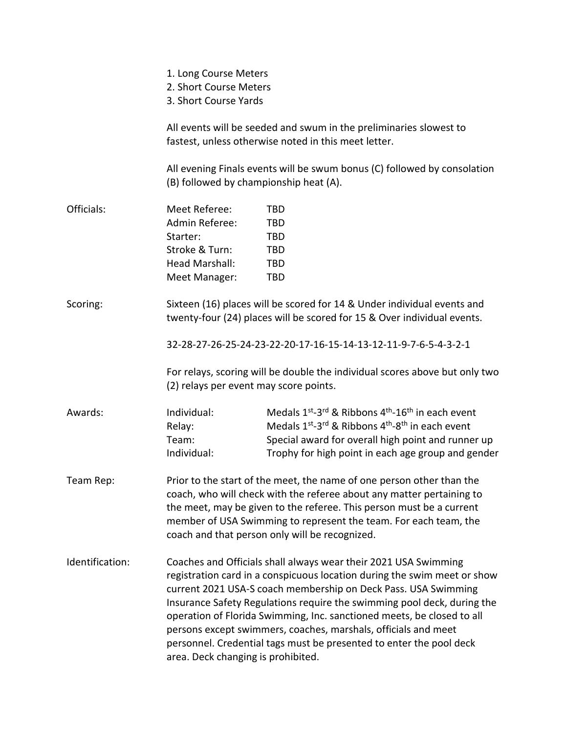|                 | 1. Long Course Meters<br>2. Short Course Meters<br>3. Short Course Yards                                                                                                                                                                                                                                                                     |                                                                                                                                                                                                                                                                                                                                                                                                                                                                                                             |  |  |  |
|-----------------|----------------------------------------------------------------------------------------------------------------------------------------------------------------------------------------------------------------------------------------------------------------------------------------------------------------------------------------------|-------------------------------------------------------------------------------------------------------------------------------------------------------------------------------------------------------------------------------------------------------------------------------------------------------------------------------------------------------------------------------------------------------------------------------------------------------------------------------------------------------------|--|--|--|
|                 |                                                                                                                                                                                                                                                                                                                                              | All events will be seeded and swum in the preliminaries slowest to<br>fastest, unless otherwise noted in this meet letter.                                                                                                                                                                                                                                                                                                                                                                                  |  |  |  |
|                 | (B) followed by championship heat (A).                                                                                                                                                                                                                                                                                                       | All evening Finals events will be swum bonus (C) followed by consolation                                                                                                                                                                                                                                                                                                                                                                                                                                    |  |  |  |
| Officials:      | Meet Referee:<br>Admin Referee:<br>Starter:<br>Stroke & Turn:<br>Head Marshall:<br>Meet Manager:                                                                                                                                                                                                                                             | <b>TBD</b><br><b>TBD</b><br><b>TBD</b><br><b>TBD</b><br><b>TBD</b><br><b>TBD</b>                                                                                                                                                                                                                                                                                                                                                                                                                            |  |  |  |
| Scoring:        |                                                                                                                                                                                                                                                                                                                                              | Sixteen (16) places will be scored for 14 & Under individual events and<br>twenty-four (24) places will be scored for 15 & Over individual events.<br>32-28-27-26-25-24-23-22-20-17-16-15-14-13-12-11-9-7-6-5-4-3-2-1                                                                                                                                                                                                                                                                                       |  |  |  |
|                 | (2) relays per event may score points.                                                                                                                                                                                                                                                                                                       | For relays, scoring will be double the individual scores above but only two                                                                                                                                                                                                                                                                                                                                                                                                                                 |  |  |  |
| Awards:         | Individual:<br>Relay:<br>Team:<br>Individual:                                                                                                                                                                                                                                                                                                | Medals 1 <sup>st</sup> -3 <sup>rd</sup> & Ribbons 4 <sup>th</sup> -16 <sup>th</sup> in each event<br>Medals 1 <sup>st</sup> -3 <sup>rd</sup> & Ribbons 4 <sup>th</sup> -8 <sup>th</sup> in each event<br>Special award for overall high point and runner up<br>Trophy for high point in each age group and gender                                                                                                                                                                                           |  |  |  |
| Team Rep:       | Prior to the start of the meet, the name of one person other than the<br>coach, who will check with the referee about any matter pertaining to<br>the meet, may be given to the referee. This person must be a current<br>member of USA Swimming to represent the team. For each team, the<br>coach and that person only will be recognized. |                                                                                                                                                                                                                                                                                                                                                                                                                                                                                                             |  |  |  |
| Identification: | area. Deck changing is prohibited.                                                                                                                                                                                                                                                                                                           | Coaches and Officials shall always wear their 2021 USA Swimming<br>registration card in a conspicuous location during the swim meet or show<br>current 2021 USA-S coach membership on Deck Pass. USA Swimming<br>Insurance Safety Regulations require the swimming pool deck, during the<br>operation of Florida Swimming, Inc. sanctioned meets, be closed to all<br>persons except swimmers, coaches, marshals, officials and meet<br>personnel. Credential tags must be presented to enter the pool deck |  |  |  |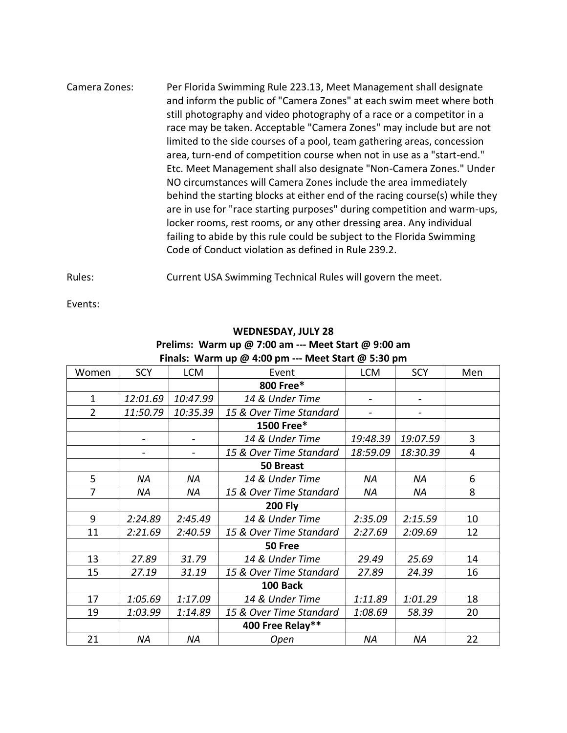Camera Zones: Per Florida Swimming Rule 223.13, Meet Management shall designate and inform the public of "Camera Zones" at each swim meet where both still photography and video photography of a race or a competitor in a race may be taken. Acceptable "Camera Zones" may include but are not limited to the side courses of a pool, team gathering areas, concession area, turn-end of competition course when not in use as a "start-end." Etc. Meet Management shall also designate "Non-Camera Zones." Under NO circumstances will Camera Zones include the area immediately behind the starting blocks at either end of the racing course(s) while they are in use for "race starting purposes" during competition and warm-ups, locker rooms, rest rooms, or any other dressing area. Any individual failing to abide by this rule could be subject to the Florida Swimming Code of Conduct violation as defined in Rule 239.2.

Rules: Current USA Swimming Technical Rules will govern the meet.

Events:

| $\frac{1}{2}$ . The statistic set of $\frac{1}{2}$ and $\frac{1}{2}$ and $\frac{1}{2}$ and $\frac{1}{2}$ and $\frac{1}{2}$ |           |            |                         |            |            |     |
|----------------------------------------------------------------------------------------------------------------------------|-----------|------------|-------------------------|------------|------------|-----|
| Women                                                                                                                      | SCY       | <b>LCM</b> | Event                   | <b>LCM</b> | <b>SCY</b> | Men |
|                                                                                                                            |           |            | 800 Free*               |            |            |     |
| 1                                                                                                                          | 12:01.69  | 10:47.99   | 14 & Under Time         |            |            |     |
| $\overline{2}$                                                                                                             | 11:50.79  | 10:35.39   | 15 & Over Time Standard |            |            |     |
|                                                                                                                            |           |            | 1500 Free*              |            |            |     |
|                                                                                                                            |           |            | 14 & Under Time         | 19:48.39   | 19:07.59   | 3   |
|                                                                                                                            |           |            | 15 & Over Time Standard | 18:59.09   | 18:30.39   | 4   |
|                                                                                                                            |           |            | 50 Breast               |            |            |     |
| 5                                                                                                                          | ΝA        | ΝA         | 14 & Under Time         | <b>NA</b>  | ΝA         | 6   |
| $\overline{7}$                                                                                                             | <b>NA</b> | <b>NA</b>  | 15 & Over Time Standard | NA         | <b>NA</b>  | 8   |
|                                                                                                                            |           |            | <b>200 Fly</b>          |            |            |     |
| 9                                                                                                                          | 2:24.89   | 2:45.49    | 14 & Under Time         | 2:35.09    | 2:15.59    | 10  |
| 11                                                                                                                         | 2:21.69   | 2:40.59    | 15 & Over Time Standard | 2:27.69    | 2:09.69    | 12  |
|                                                                                                                            |           |            | 50 Free                 |            |            |     |
| 13                                                                                                                         | 27.89     | 31.79      | 14 & Under Time         | 29.49      | 25.69      | 14  |
| 15                                                                                                                         | 27.19     | 31.19      | 15 & Over Time Standard | 27.89      | 24.39      | 16  |
|                                                                                                                            |           |            | 100 Back                |            |            |     |
| 17                                                                                                                         | 1:05.69   | 1:17.09    | 14 & Under Time         | 1:11.89    | 1:01.29    | 18  |
| 19                                                                                                                         | 1:03.99   | 1:14.89    | 15 & Over Time Standard | 1:08.69    | 58.39      | 20  |
|                                                                                                                            |           |            | 400 Free Relay**        |            |            |     |
| 21                                                                                                                         | <b>NA</b> | <b>ΝΑ</b>  | Open                    | <b>NA</b>  | <b>NA</b>  | 22  |

#### **WEDNESDAY, JULY 28**

#### **Prelims: Warm up @ 7:00 am --- Meet Start @ 9:00 am Finals: Warm up @ 4:00 pm --- Meet Start @ 5:30 pm**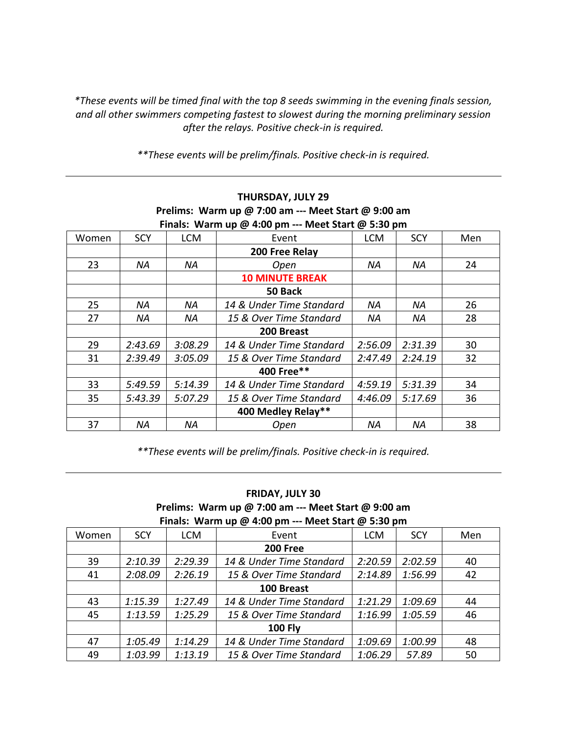*\*These events will be timed final with the top 8 seeds swimming in the evening finals session, and all other swimmers competing fastest to slowest during the morning preliminary session after the relays. Positive check-in is required.* 

*\*\*These events will be prelim/finals. Positive check-in is required.*

| Finals: Warm up @ 4:00 pm --- Meet Start @ 5:30 pm |            |            |                          |            |            |     |  |
|----------------------------------------------------|------------|------------|--------------------------|------------|------------|-----|--|
| Women                                              | <b>SCY</b> | <b>LCM</b> | Event                    | <b>LCM</b> | <b>SCY</b> | Men |  |
|                                                    |            |            | 200 Free Relay           |            |            |     |  |
| 23                                                 | ΝA         | ΝA         | Open                     | ΝA         | ΝA         | 24  |  |
|                                                    |            |            | <b>10 MINUTE BREAK</b>   |            |            |     |  |
|                                                    |            |            | 50 Back                  |            |            |     |  |
| 25                                                 | ΝA         | ΝA         | 14 & Under Time Standard | NA         | ΝA         | 26  |  |
| 27                                                 | ΝA         | ΝA         | 15 & Over Time Standard  | ΝA         | ΝA         | 28  |  |
|                                                    |            |            | 200 Breast               |            |            |     |  |
| 29                                                 | 2:43.69    | 3:08.29    | 14 & Under Time Standard | 2:56.09    | 2:31.39    | 30  |  |
| 31                                                 | 2:39.49    | 3:05.09    | 15 & Over Time Standard  | 2:47.49    | 2:24.19    | 32  |  |
|                                                    |            |            | 400 Free**               |            |            |     |  |
| 33                                                 | 5:49.59    | 5:14.39    | 14 & Under Time Standard | 4:59.19    | 5:31.39    | 34  |  |
| 35                                                 | 5:43.39    | 5:07.29    | 15 & Over Time Standard  | 4:46.09    | 5:17.69    | 36  |  |
|                                                    |            |            | 400 Medley Relay**       |            |            |     |  |
| 37                                                 | ΝA         | ΝA         | Open                     | ΝA         | ΝA         | 38  |  |

## **THURSDAY, JULY 29 Prelims: Warm up @ 7:00 am --- Meet Start @ 9:00 am**

*\*\*These events will be prelim/finals. Positive check-in is required.*

#### **FRIDAY, JULY 30**

**Prelims: Warm up @ 7:00 am --- Meet Start @ 9:00 am Finals: Warm up @ 4:00 pm --- Meet Start @ 5:30 pm**

| Women | <b>SCY</b> | <b>LCM</b> | Event                    | <b>LCM</b> | <b>SCY</b> | Men |
|-------|------------|------------|--------------------------|------------|------------|-----|
|       |            |            | <b>200 Free</b>          |            |            |     |
| 39    | 2:10.39    | 2:29.39    | 14 & Under Time Standard | 2:20.59    | 2:02.59    | 40  |
| 41    | 2:08.09    | 2:26.19    | 15 & Over Time Standard  | 2:14.89    | 1:56.99    | 42  |
|       |            |            | 100 Breast               |            |            |     |
| 43    | 1:15.39    | 1:27.49    | 14 & Under Time Standard | 1:21.29    | 1:09.69    | 44  |
| 45    | 1:13.59    | 1:25.29    | 15 & Over Time Standard  | 1:16.99    | 1:05.59    | 46  |
|       |            |            | <b>100 Fly</b>           |            |            |     |
| 47    | 1:05.49    | 1:14.29    | 14 & Under Time Standard | 1:09.69    | 1:00.99    | 48  |
| 49    | 1:03.99    | 1:13.19    | 15 & Over Time Standard  | 1:06.29    | 57.89      | 50  |